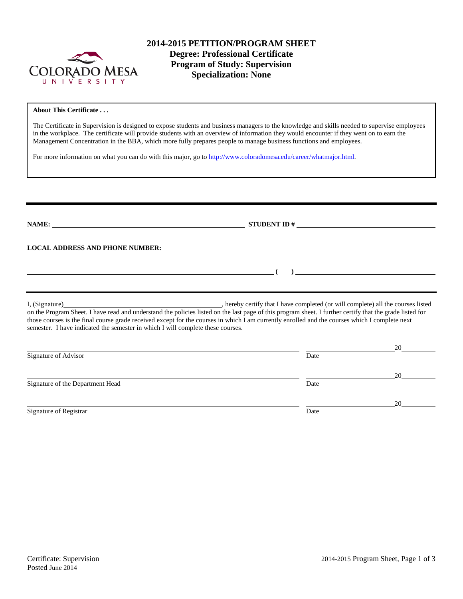

# **2014-2015 PETITION/PROGRAM SHEET Degree: Professional Certificate Program of Study: Supervision Specialization: None**

#### **About This Certificate . . .**

The Certificate in Supervision is designed to expose students and business managers to the knowledge and skills needed to supervise employees in the workplace. The certificate will provide students with an overview of information they would encounter if they went on to earn the Management Concentration in the BBA, which more fully prepares people to manage business functions and employees.

For more information on what you can do with this major, go to [http://www.coloradomesa.edu/career/whatmajor.html.](http://www.coloradomesa.edu/career/whatmajor.html)

**NAME: STUDENT ID # LOCAL ADDRESS AND PHONE NUMBER: ( )**  I, (Signature) , hereby certify that I have completed (or will complete) all the courses listed on the Program Sheet. I have read and understand the policies listed on the last page of this program sheet. I further certify that the grade listed for those courses is the final course grade received except for the courses in which I am currently enrolled and the courses which I complete next semester. I have indicated the semester in which I will complete these courses. 20 Signature of Advisor Date 20 Signature of the Department Head Date 20

Signature of Registrar Date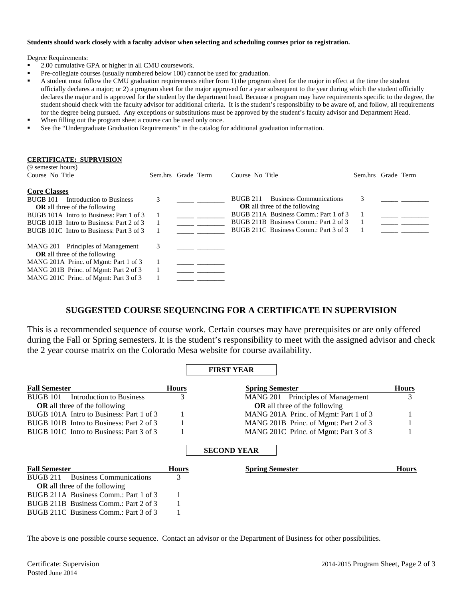#### **Students should work closely with a faculty advisor when selecting and scheduling courses prior to registration.**

Degree Requirements:

- 2.00 cumulative GPA or higher in all CMU coursework.
- **Pre-collegiate courses (usually numbered below 100) cannot be used for graduation.**
- A student must follow the CMU graduation requirements either from 1) the program sheet for the major in effect at the time the student officially declares a major; or 2) a program sheet for the major approved for a year subsequent to the year during which the student officially declares the major and is approved for the student by the department head. Because a program may have requirements specific to the degree, the student should check with the faculty advisor for additional criteria. It is the student's responsibility to be aware of, and follow, all requirements for the degree being pursued. Any exceptions or substitutions must be approved by the student's faculty advisor and Department Head.
- When filling out the program sheet a course can be used only once.
- See the "Undergraduate Graduation Requirements" in the catalog for additional graduation information.

#### **CERTIFICATE: SUPRVISION**

| (9 semester hours)<br>Course No Title                                                                                                                                                                                                          | Sem.hrs Grade Term |  | Course No Title                                                                                                                                                                                               | Sem.hrs Grade Term |  |
|------------------------------------------------------------------------------------------------------------------------------------------------------------------------------------------------------------------------------------------------|--------------------|--|---------------------------------------------------------------------------------------------------------------------------------------------------------------------------------------------------------------|--------------------|--|
| <b>Core Classes</b><br><b>BUGB 101</b><br>Introduction to Business<br><b>OR</b> all three of the following<br>BUGB 101A Intro to Business: Part 1 of 3<br>BUGB 101B Intro to Business: Part 2 of 3<br>BUGB 101C Intro to Business: Part 3 of 3 | 3                  |  | <b>Business Communications</b><br>BUGB 211<br><b>OR</b> all three of the following<br>BUGB 211A Business Comm.: Part 1 of 3<br>BUGB 211B Business Comm.: Part 2 of 3<br>BUGB 211C Business Comm.: Part 3 of 3 | 3                  |  |
| MANG 201 Principles of Management<br><b>OR</b> all three of the following<br>MANG 201A Princ. of Mgmt: Part 1 of 3<br>MANG 201B Princ. of Mgmt: Part 2 of 3<br>MANG 201C Princ. of Mgmt: Part 3 of 3                                           | 3                  |  |                                                                                                                                                                                                               |                    |  |

## **SUGGESTED COURSE SEQUENCING FOR A CERTIFICATE IN SUPERVISION**

This is a recommended sequence of course work. Certain courses may have prerequisites or are only offered during the Fall or Spring semesters. It is the student's responsibility to meet with the assigned advisor and check the 2 year course matrix on the Colorado Mesa website for course availability.

|                                             |              | <b>FIRST YEAR</b>                     |              |
|---------------------------------------------|--------------|---------------------------------------|--------------|
| <b>Fall Semester</b>                        | <b>Hours</b> | <b>Spring Semester</b>                | <b>Hours</b> |
| Introduction to Business<br><b>BUGB 101</b> | 3            | Principles of Management<br>MANG 201  | 3            |
| <b>OR</b> all three of the following        |              | <b>OR</b> all three of the following  |              |
| BUGB 101A Intro to Business: Part 1 of 3    |              | MANG 201A Princ. of Mgmt: Part 1 of 3 |              |
| BUGB 101B Intro to Business: Part 2 of 3    |              | MANG 201B Princ. of Mgmt: Part 2 of 3 |              |
| BUGB 101C Intro to Business: Part 3 of 3    |              | MANG 201C Princ. of Mgmt: Part 3 of 3 |              |
|                                             |              | <b>SECOND YEAR</b>                    |              |
| <b>Fall Semester</b>                        | <b>Hours</b> | <b>Spring Semester</b>                | <b>Hours</b> |
| <b>Business Communications</b><br>BUGB 211  | 3            |                                       |              |
| <b>OR</b> all three of the following        |              |                                       |              |
| BUGB 211A Business Comm.: Part 1 of 3       |              |                                       |              |
| BUGB 211B Business Comm.: Part 2 of 3       |              |                                       |              |
| BUGB 211C Business Comm.: Part 3 of 3       |              |                                       |              |

The above is one possible course sequence. Contact an advisor or the Department of Business for other possibilities.